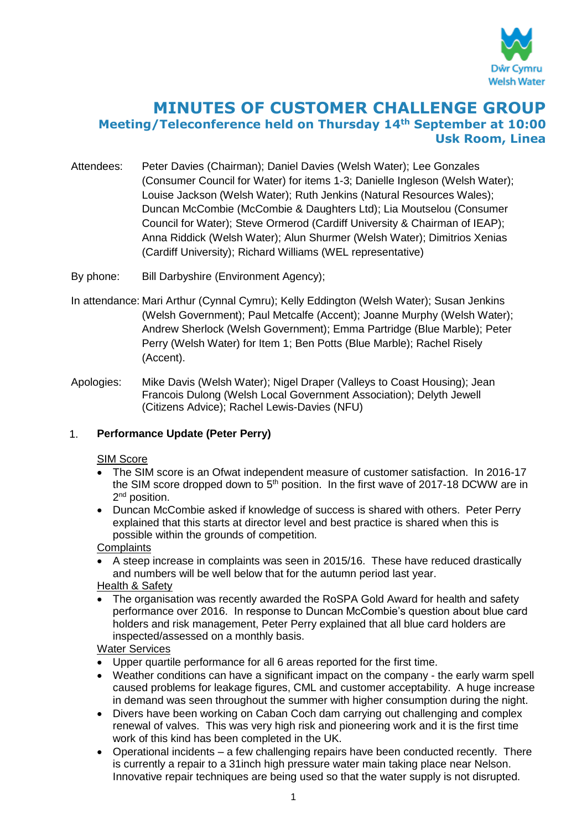

# **MINUTES OF CUSTOMER CHALLENGE GROUP Meeting/Teleconference held on Thursday 14th September at 10:00 Usk Room, Linea**

- Attendees: Peter Davies (Chairman); Daniel Davies (Welsh Water); Lee Gonzales (Consumer Council for Water) for items 1-3; Danielle Ingleson (Welsh Water); Louise Jackson (Welsh Water); Ruth Jenkins (Natural Resources Wales); Duncan McCombie (McCombie & Daughters Ltd); Lia Moutselou (Consumer Council for Water); Steve Ormerod (Cardiff University & Chairman of IEAP); Anna Riddick (Welsh Water); Alun Shurmer (Welsh Water); Dimitrios Xenias (Cardiff University); Richard Williams (WEL representative)
- By phone: Bill Darbyshire (Environment Agency);
- In attendance: Mari Arthur (Cynnal Cymru); Kelly Eddington (Welsh Water); Susan Jenkins (Welsh Government); Paul Metcalfe (Accent); Joanne Murphy (Welsh Water); Andrew Sherlock (Welsh Government); Emma Partridge (Blue Marble); Peter Perry (Welsh Water) for Item 1; Ben Potts (Blue Marble); Rachel Risely (Accent).
- Apologies: Mike Davis (Welsh Water); Nigel Draper (Valleys to Coast Housing); Jean Francois Dulong (Welsh Local Government Association); Delyth Jewell (Citizens Advice); Rachel Lewis-Davies (NFU)

# 1. **Performance Update (Peter Perry)**

#### **SIM Score**

- The SIM score is an Ofwat independent measure of customer satisfaction. In 2016-17 the SIM score dropped down to  $5<sup>th</sup>$  position. In the first wave of 2017-18 DCWW are in 2<sup>nd</sup> position.
- Duncan McCombie asked if knowledge of success is shared with others. Peter Perry explained that this starts at director level and best practice is shared when this is possible within the grounds of competition.

# **Complaints**

 A steep increase in complaints was seen in 2015/16. These have reduced drastically and numbers will be well below that for the autumn period last year.

#### Health & Safety

 The organisation was recently awarded the RoSPA Gold Award for health and safety performance over 2016. In response to Duncan McCombie's question about blue card holders and risk management, Peter Perry explained that all blue card holders are inspected/assessed on a monthly basis.

#### Water Services

- Upper quartile performance for all 6 areas reported for the first time.
- Weather conditions can have a significant impact on the company the early warm spell caused problems for leakage figures, CML and customer acceptability. A huge increase in demand was seen throughout the summer with higher consumption during the night.
- Divers have been working on Caban Coch dam carrying out challenging and complex renewal of valves. This was very high risk and pioneering work and it is the first time work of this kind has been completed in the UK.
- Operational incidents a few challenging repairs have been conducted recently. There is currently a repair to a 31inch high pressure water main taking place near Nelson. Innovative repair techniques are being used so that the water supply is not disrupted.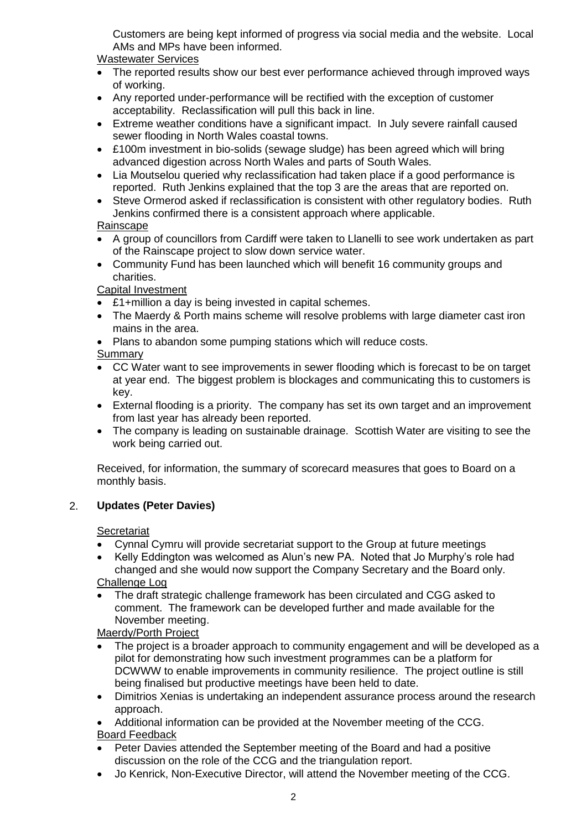Customers are being kept informed of progress via social media and the website. Local AMs and MPs have been informed.

### Wastewater Services

- The reported results show our best ever performance achieved through improved ways of working.
- Any reported under-performance will be rectified with the exception of customer acceptability. Reclassification will pull this back in line.
- Extreme weather conditions have a significant impact. In July severe rainfall caused sewer flooding in North Wales coastal towns.
- £100m investment in bio-solids (sewage sludge) has been agreed which will bring advanced digestion across North Wales and parts of South Wales.
- Lia Moutselou queried why reclassification had taken place if a good performance is reported. Ruth Jenkins explained that the top 3 are the areas that are reported on.
- Steve Ormerod asked if reclassification is consistent with other regulatory bodies. Ruth Jenkins confirmed there is a consistent approach where applicable.

# Rainscape

- A group of councillors from Cardiff were taken to Llanelli to see work undertaken as part of the Rainscape project to slow down service water.
- Community Fund has been launched which will benefit 16 community groups and charities.

# Capital Investment

- £1+million a day is being invested in capital schemes.
- The Maerdy & Porth mains scheme will resolve problems with large diameter cast iron mains in the area.
- Plans to abandon some pumping stations which will reduce costs.

### **Summary**

- CC Water want to see improvements in sewer flooding which is forecast to be on target at year end. The biggest problem is blockages and communicating this to customers is key.
- External flooding is a priority. The company has set its own target and an improvement from last year has already been reported.
- The company is leading on sustainable drainage. Scottish Water are visiting to see the work being carried out.

Received, for information, the summary of scorecard measures that goes to Board on a monthly basis.

# 2. **Updates (Peter Davies)**

#### **Secretariat**

- Cynnal Cymru will provide secretariat support to the Group at future meetings
- Kelly Eddington was welcomed as Alun's new PA. Noted that Jo Murphy's role had changed and she would now support the Company Secretary and the Board only. Challenge Log

 The draft strategic challenge framework has been circulated and CGG asked to comment. The framework can be developed further and made available for the November meeting.

### Maerdy/Porth Project

- The project is a broader approach to community engagement and will be developed as a pilot for demonstrating how such investment programmes can be a platform for DCWWW to enable improvements in community resilience. The project outline is still being finalised but productive meetings have been held to date.
- Dimitrios Xenias is undertaking an independent assurance process around the research approach.
- Additional information can be provided at the November meeting of the CCG. Board Feedback
- Peter Davies attended the September meeting of the Board and had a positive discussion on the role of the CCG and the triangulation report.
- Jo Kenrick, Non-Executive Director, will attend the November meeting of the CCG.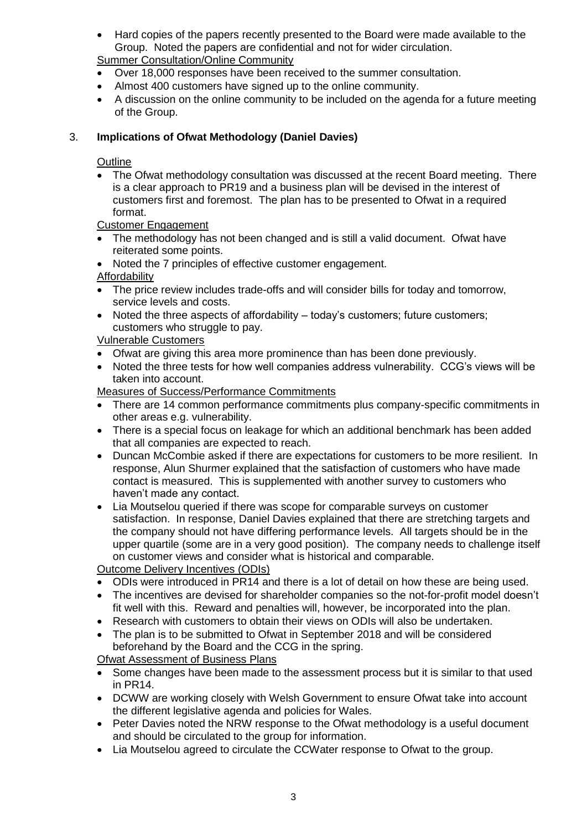Hard copies of the papers recently presented to the Board were made available to the Group. Noted the papers are confidential and not for wider circulation.

Summer Consultation/Online Community

- Over 18,000 responses have been received to the summer consultation.
- Almost 400 customers have signed up to the online community.
- A discussion on the online community to be included on the agenda for a future meeting of the Group.

### 3. **Implications of Ofwat Methodology (Daniel Davies)**

#### **Outline**

 The Ofwat methodology consultation was discussed at the recent Board meeting. There is a clear approach to PR19 and a business plan will be devised in the interest of customers first and foremost. The plan has to be presented to Ofwat in a required format.

Customer Engagement

- The methodology has not been changed and is still a valid document. Ofwat have reiterated some points.
- Noted the 7 principles of effective customer engagement.

Affordability

- The price review includes trade-offs and will consider bills for today and tomorrow, service levels and costs.
- Noted the three aspects of affordability today's customers; future customers; customers who struggle to pay.

### Vulnerable Customers

- Ofwat are giving this area more prominence than has been done previously.
- Noted the three tests for how well companies address vulnerability. CCG's views will be taken into account.

Measures of Success/Performance Commitments

- There are 14 common performance commitments plus company-specific commitments in other areas e.g. vulnerability.
- There is a special focus on leakage for which an additional benchmark has been added that all companies are expected to reach.
- Duncan McCombie asked if there are expectations for customers to be more resilient. In response, Alun Shurmer explained that the satisfaction of customers who have made contact is measured. This is supplemented with another survey to customers who haven't made any contact.
- Lia Moutselou queried if there was scope for comparable surveys on customer satisfaction. In response, Daniel Davies explained that there are stretching targets and the company should not have differing performance levels. All targets should be in the upper quartile (some are in a very good position). The company needs to challenge itself on customer views and consider what is historical and comparable.

Outcome Delivery Incentives (ODIs)

- ODIs were introduced in PR14 and there is a lot of detail on how these are being used.
- The incentives are devised for shareholder companies so the not-for-profit model doesn't fit well with this. Reward and penalties will, however, be incorporated into the plan.
- Research with customers to obtain their views on ODIs will also be undertaken.
- The plan is to be submitted to Ofwat in September 2018 and will be considered beforehand by the Board and the CCG in the spring.

Ofwat Assessment of Business Plans

- Some changes have been made to the assessment process but it is similar to that used in PR14.
- DCWW are working closely with Welsh Government to ensure Ofwat take into account the different legislative agenda and policies for Wales.
- Peter Davies noted the NRW response to the Ofwat methodology is a useful document and should be circulated to the group for information.
- Lia Moutselou agreed to circulate the CCWater response to Ofwat to the group.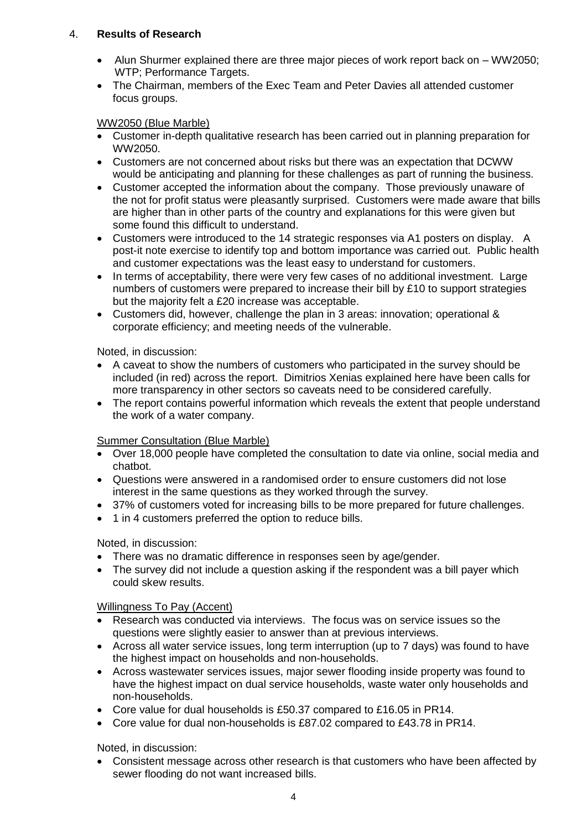# 4. **Results of Research**

- Alun Shurmer explained there are three major pieces of work report back on WW2050; WTP: Performance Targets.
- The Chairman, members of the Exec Team and Peter Davies all attended customer focus groups.

#### WW2050 (Blue Marble)

- Customer in-depth qualitative research has been carried out in planning preparation for WW2050.
- Customers are not concerned about risks but there was an expectation that DCWW would be anticipating and planning for these challenges as part of running the business.
- Customer accepted the information about the company. Those previously unaware of the not for profit status were pleasantly surprised. Customers were made aware that bills are higher than in other parts of the country and explanations for this were given but some found this difficult to understand.
- Customers were introduced to the 14 strategic responses via A1 posters on display. A post-it note exercise to identify top and bottom importance was carried out. Public health and customer expectations was the least easy to understand for customers.
- In terms of acceptability, there were very few cases of no additional investment. Large numbers of customers were prepared to increase their bill by £10 to support strategies but the majority felt a £20 increase was acceptable.
- Customers did, however, challenge the plan in 3 areas: innovation; operational & corporate efficiency; and meeting needs of the vulnerable.

#### Noted, in discussion:

- A caveat to show the numbers of customers who participated in the survey should be included (in red) across the report. Dimitrios Xenias explained here have been calls for more transparency in other sectors so caveats need to be considered carefully.
- The report contains powerful information which reveals the extent that people understand the work of a water company.

#### Summer Consultation (Blue Marble)

- Over 18,000 people have completed the consultation to date via online, social media and chatbot.
- Questions were answered in a randomised order to ensure customers did not lose interest in the same questions as they worked through the survey.
- 37% of customers voted for increasing bills to be more prepared for future challenges.
- 1 in 4 customers preferred the option to reduce bills.

#### Noted, in discussion:

- There was no dramatic difference in responses seen by age/gender.
- The survey did not include a question asking if the respondent was a bill payer which could skew results.

#### Willingness To Pay (Accent)

- Research was conducted via interviews. The focus was on service issues so the questions were slightly easier to answer than at previous interviews.
- Across all water service issues, long term interruption (up to 7 days) was found to have the highest impact on households and non-households.
- Across wastewater services issues, major sewer flooding inside property was found to have the highest impact on dual service households, waste water only households and non-households.
- Core value for dual households is £50.37 compared to £16.05 in PR14.
- Core value for dual non-households is £87.02 compared to £43.78 in PR14.

#### Noted, in discussion:

 Consistent message across other research is that customers who have been affected by sewer flooding do not want increased bills.